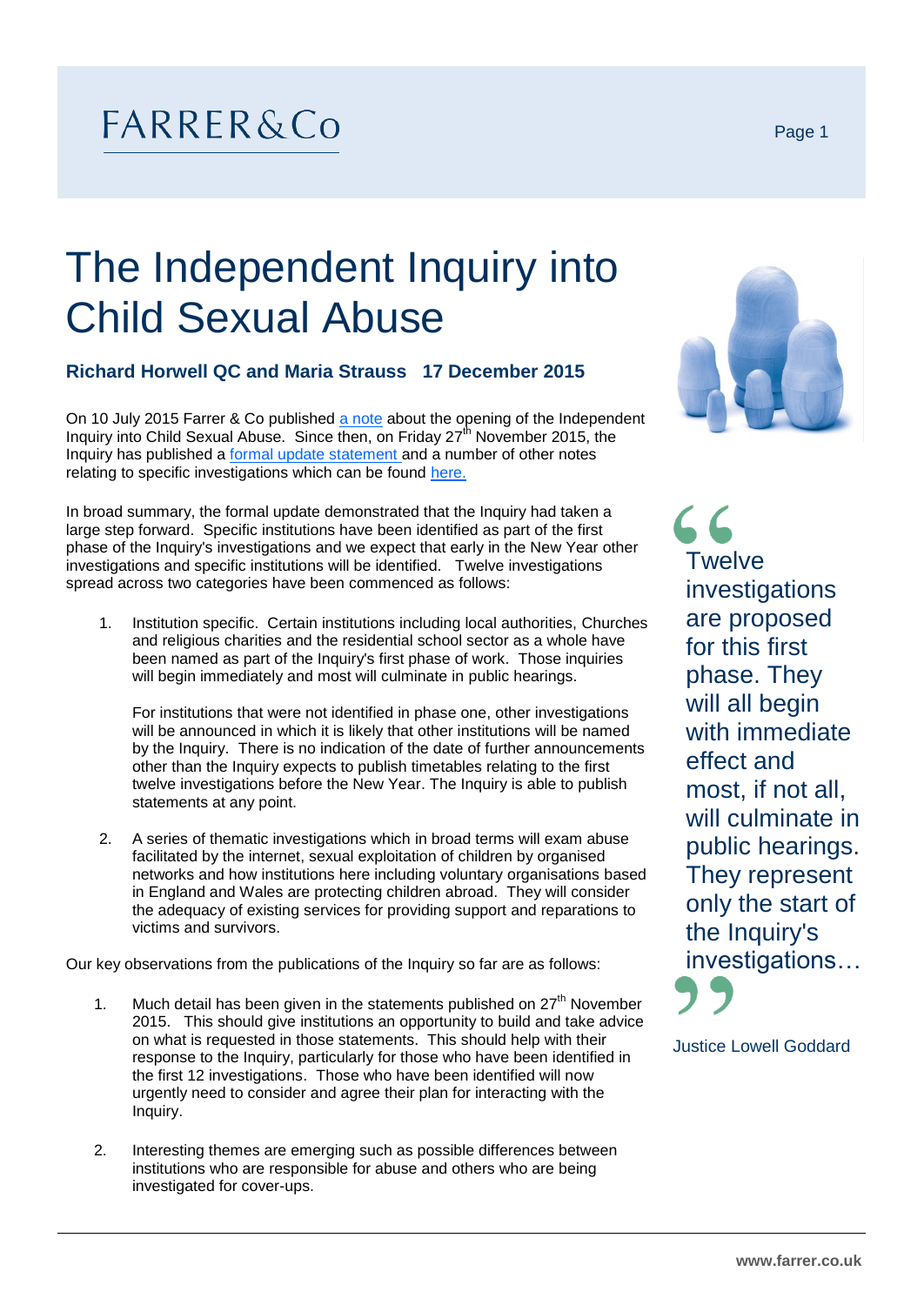## $FARRER&Co$

## The Independent Inquiry into Child Sexual Abuse

## **Richard Horwell QC and Maria Strauss 17 December 2015**

On 10 July 2015 Farrer & Co published [a note](http://www.farrer.co.uk/Global/Briefings/Independent%20Inquiry%20into%20Child%20Sexual%20Abuse.pdf) about the opening of the Independent Inquiry into Child Sexual Abuse. Since then, on Friday 27<sup>th</sup> November 2015, the Inquiry has published a [formal update statement](https://www.iicsa.org.uk/sites/default/files/update-statement-november-2015_0.pdf) and a number of other notes relating to specific investigations which can be found [here.](https://www.iicsa.org.uk/investigations)

In broad summary, the formal update demonstrated that the Inquiry had taken a large step forward. Specific institutions have been identified as part of the first phase of the Inquiry's investigations and we expect that early in the New Year other investigations and specific institutions will be identified. Twelve investigations spread across two categories have been commenced as follows:

1. Institution specific. Certain institutions including local authorities, Churches and religious charities and the residential school sector as a whole have been named as part of the Inquiry's first phase of work. Those inquiries will begin immediately and most will culminate in public hearings.

For institutions that were not identified in phase one, other investigations will be announced in which it is likely that other institutions will be named by the Inquiry. There is no indication of the date of further announcements other than the Inquiry expects to publish timetables relating to the first twelve investigations before the New Year. The Inquiry is able to publish statements at any point.

2. A series of thematic investigations which in broad terms will exam abuse facilitated by the internet, sexual exploitation of children by organised networks and how institutions here including voluntary organisations based in England and Wales are protecting children abroad. They will consider the adequacy of existing services for providing support and reparations to victims and survivors.

Our key observations from the publications of the Inquiry so far are as follows:

- 1. Much detail has been given in the statements published on  $27<sup>th</sup>$  November 2015. This should give institutions an opportunity to build and take advice on what is requested in those statements. This should help with their response to the Inquiry, particularly for those who have been identified in the first 12 investigations. Those who have been identified will now urgently need to consider and agree their plan for interacting with the Inquiry.
- 2. Interesting themes are emerging such as possible differences between institutions who are responsible for abuse and others who are being investigated for cover-ups.



 $66$ **Twelve** investigations are proposed for this first phase. They will all begin with immediate effect and most, if not all, will culminate in public hearings. They represent only the start of the Inquiry's investigations…



Justice Lowell Goddard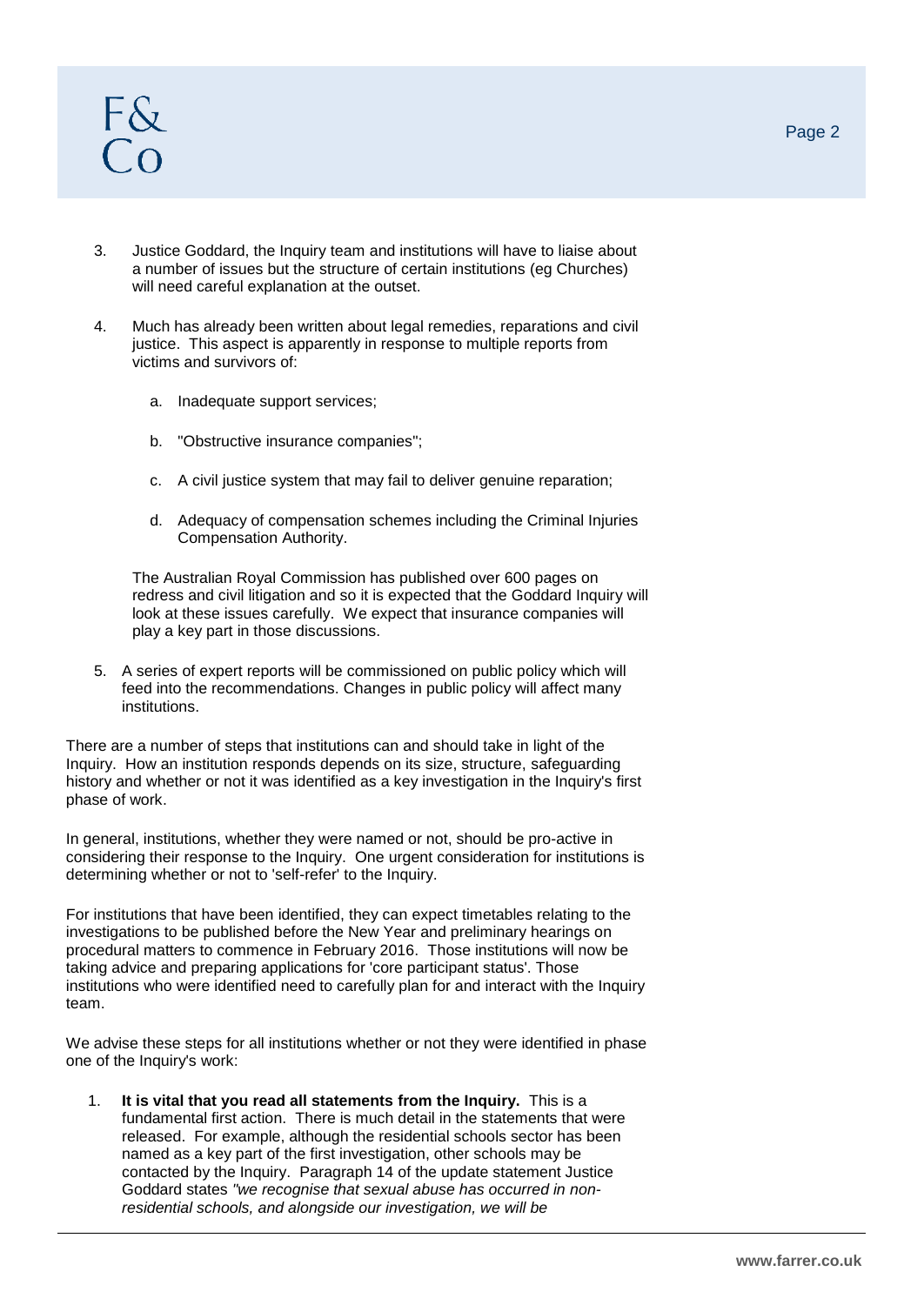- 3. Justice Goddard, the Inquiry team and institutions will have to liaise about a number of issues but the structure of certain institutions (eg Churches) will need careful explanation at the outset.
- 4. Much has already been written about legal remedies, reparations and civil justice. This aspect is apparently in response to multiple reports from victims and survivors of:
	- a. Inadequate support services;
	- b. "Obstructive insurance companies";
	- c. A civil justice system that may fail to deliver genuine reparation;
	- d. Adequacy of compensation schemes including the Criminal Injuries Compensation Authority.

The Australian Royal Commission has published over 600 pages on redress and civil litigation and so it is expected that the Goddard Inquiry will look at these issues carefully. We expect that insurance companies will play a key part in those discussions.

5. A series of expert reports will be commissioned on public policy which will feed into the recommendations. Changes in public policy will affect many institutions.

There are a number of steps that institutions can and should take in light of the Inquiry. How an institution responds depends on its size, structure, safeguarding history and whether or not it was identified as a key investigation in the Inquiry's first phase of work.

In general, institutions, whether they were named or not, should be pro-active in considering their response to the Inquiry. One urgent consideration for institutions is determining whether or not to 'self-refer' to the Inquiry.

For institutions that have been identified, they can expect timetables relating to the investigations to be published before the New Year and preliminary hearings on procedural matters to commence in February 2016. Those institutions will now be taking advice and preparing applications for 'core participant status'. Those institutions who were identified need to carefully plan for and interact with the Inquiry team.

We advise these steps for all institutions whether or not they were identified in phase one of the Inquiry's work:

1. **It is vital that you read all statements from the Inquiry.** This is a fundamental first action. There is much detail in the statements that were released. For example, although the residential schools sector has been named as a key part of the first investigation, other schools may be contacted by the Inquiry. Paragraph 14 of the update statement Justice Goddard states *"we recognise that sexual abuse has occurred in nonresidential schools, and alongside our investigation, we will be*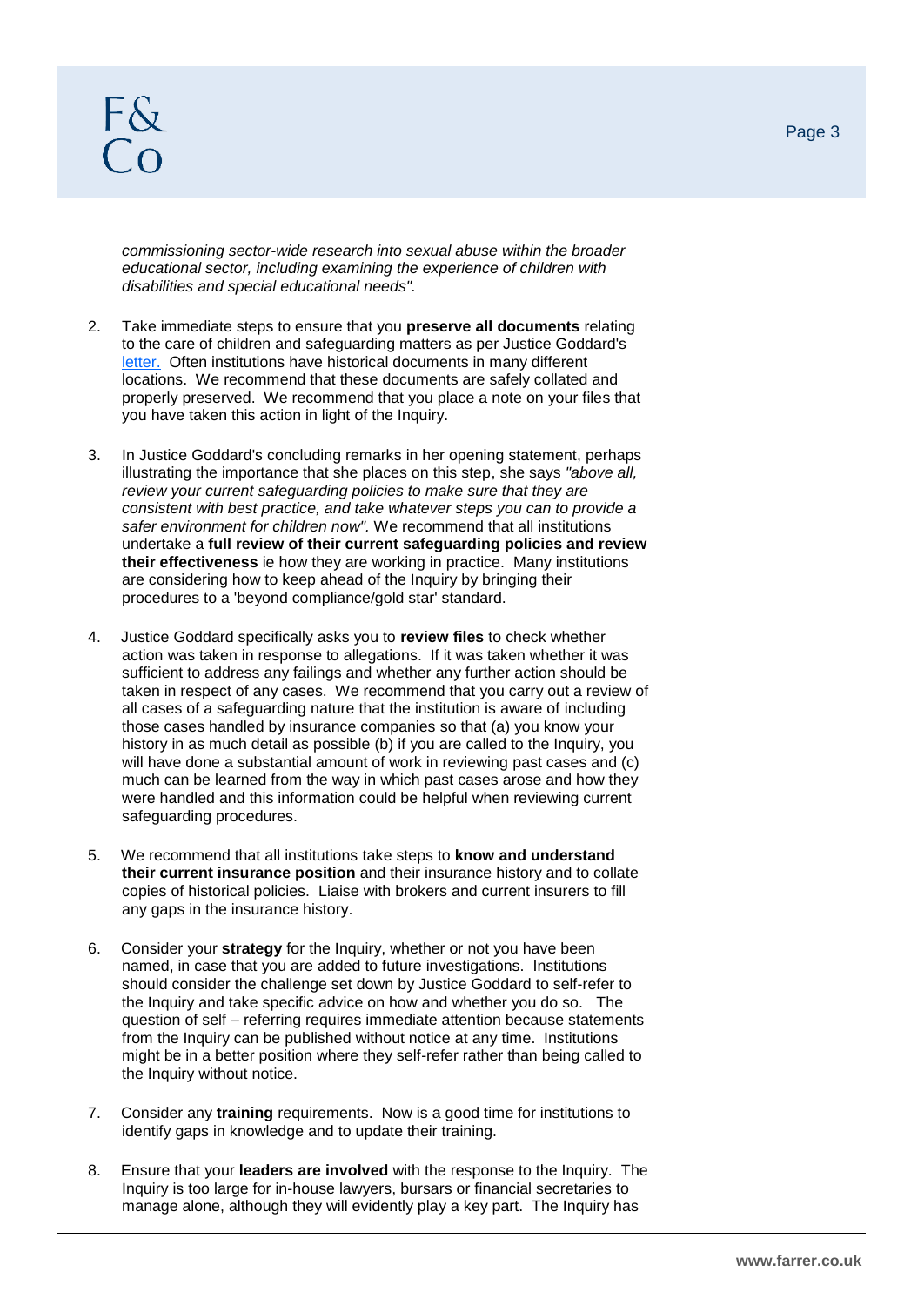## $F_{\alpha}^{2}$

*commissioning sector-wide research into sexual abuse within the broader educational sector, including examining the experience of children with disabilities and special educational needs".*

- 2. Take immediate steps to ensure that you **preserve all documents** relating to the care of children and safeguarding matters as per Justice Goddard's [letter.](https://www.iicsa.org.uk/sites/default/files/letter-to-religious-leaders.pdf) Often institutions have historical documents in many different locations. We recommend that these documents are safely collated and properly preserved. We recommend that you place a note on your files that you have taken this action in light of the Inquiry.
- 3. In Justice Goddard's concluding remarks in her opening statement, perhaps illustrating the importance that she places on this step, she says *"above all, review your current safeguarding policies to make sure that they are consistent with best practice, and take whatever steps you can to provide a safer environment for children now".* We recommend that all institutions undertake a **full review of their current safeguarding policies and review their effectiveness** ie how they are working in practice. Many institutions are considering how to keep ahead of the Inquiry by bringing their procedures to a 'beyond compliance/gold star' standard.
- 4. Justice Goddard specifically asks you to **review files** to check whether action was taken in response to allegations. If it was taken whether it was sufficient to address any failings and whether any further action should be taken in respect of any cases. We recommend that you carry out a review of all cases of a safeguarding nature that the institution is aware of including those cases handled by insurance companies so that (a) you know your history in as much detail as possible (b) if you are called to the Inquiry, you will have done a substantial amount of work in reviewing past cases and (c) much can be learned from the way in which past cases arose and how they were handled and this information could be helpful when reviewing current safeguarding procedures.
- 5. We recommend that all institutions take steps to **know and understand their current insurance position** and their insurance history and to collate copies of historical policies. Liaise with brokers and current insurers to fill any gaps in the insurance history.
- 6. Consider your **strategy** for the Inquiry, whether or not you have been named, in case that you are added to future investigations. Institutions should consider the challenge set down by Justice Goddard to self-refer to the Inquiry and take specific advice on how and whether you do so. The question of self – referring requires immediate attention because statements from the Inquiry can be published without notice at any time. Institutions might be in a better position where they self-refer rather than being called to the Inquiry without notice.
- 7. Consider any **training** requirements. Now is a good time for institutions to identify gaps in knowledge and to update their training.
- 8. Ensure that your **leaders are involved** with the response to the Inquiry. The Inquiry is too large for in-house lawyers, bursars or financial secretaries to manage alone, although they will evidently play a key part. The Inquiry has